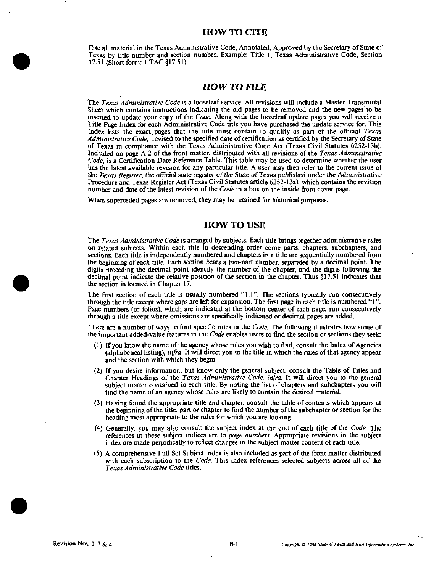Cite all material in the Texas Administrative Code, Annotated, Approved by the Secretary of State of Texas bv title number and section number. Example: Title 1, Texas Administrative Code, Section 17.51 {Short form: I TAG §17.51).

### HOW TO FILE

The Texas Administrative Code is a looseleaf service. All revisions will include a Master Transmittal Sheet which contains instructions indicating the old pages to be removed and the new pages to be inserted to update your copy of the *Code*. Along with the looseleaf update pages you will receive a Title Page Index for each Administrative Code title you have purchased the update service for. This Index lists the exact pages that the title must contain to qualify as part of the official Texas Administrative Code, revised to the specified date of certification as certified by the Secretary of Slate of Texas in compliance with the Texas Administrative Code Act (Texas Civil Statutes 6252-13b). Included on page A-2 of the front matter, distributed with all revisions of the Texas Administrative Code, is a Certification Date Reference Table. This table may be used to determine whether the user has the latest available revision for any particular title. A user may then refer to the current issue of the Texas Register, the official state register of the State of Texas published under the Administrative Procedure and Texas Register Act (Texas Civil Statutes article 6252-13a), which contains the revision number and date of the latest revision of the *Code* in a box on the inside front cover page.

When superceded pages are removed, they may be retained for historical purposes.

# HOW TO USE

The Texas Administrative Code is arranged by subjects. Each title brings together administrative rules on related subjects. Within each title in descending order come parts, chapters, subchapters, and sections. Each title is independently numbered and chapters in a title are sequentially numbered from Ibe beginning of each title. Each section bears a two-part number, separated by a decimal point. The digits preceding the decimal point identify the number of the chapter, and the digits following the decimal point indicate the relative position of the section in the chapter. Thus §17.51 indicates that the section is located in Chapter 17,

The first section of each title is usually numbered "1.1". The sections typically run consecutively through the title except where gaps are left for expansion. The first page in each title is numbered "I" . Page numbers (or folios), which are indicated at the bottom center of each page, run consecutively through a title except where omissions are specifically indicated or decimal pages are added.

There are a number of ways to find specific rules in the Code. The following illustrates how some of the important added-value features in the Code enables users to find the section or sections they seek:

- (1) If you know the name of the agency whose rules you wish to find, consult the Index of Agencies (alphabetical listing), infra. It will direct you to the title in which the rules of that agency appear and the section with which they begin.
- (2) If you desire information, but know only the general subject, consult the Table of Titles and Chapter Headings of the Texas Administrative Code, infra. It will direct you to the general subject matter contained in each title. By noting the list of chapters and subchapters you will find the name of an agency whose rules are likely to contain the desired material.
- (3) Having found the appropriate title and chapter, consult the table of contents which appears at the beginning of the title, part or chapter to find the number of the subchapter or section for the heading most appropriate to the rules for which you are looking.
- (4) Generally, you may also consult the subject index at the end of each title of the Code. The references in these subject indices are to page numbers. Appropriate revisions in the subject index are made periodically to reflect changes in the subject matter content of each title.
- (5) A comprehensive Full Set Subject index is also included as part of the front matter distributed with each subscription to the Code. This index references selected subjects across all of the Texas Administrative Code titles.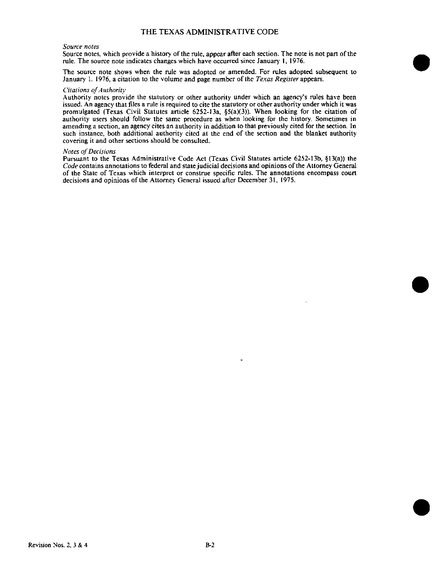### THE TEXAS ADMINISTRATIVE CODE

#### Source notes

Source notes, which provide a history of the rule, appear after each section. The note is not part of the rule. The source note indicates changes which have occurred since January 1, 1976.

The source note shows when the rule was adopted or amended. For rules adopted subsequent to January 1. 1976, a citation to the volume and page number of the Texas Register appears.

#### Citations of Authority

Authority notes provide the statutory or other authority under which an agency's rules have been issued. An agency that files a rule is required to cite the statutory or other authority under which it was promulgated (Texas Civil Statutes article 6252-13a, §5(a)(3)). When looking for the citation of authority users should follow the same procedure as when looking for the history. Sometimes in amending a section, an agency cites an authority in addition to that previously cited for the section. In such instance, both additional authority cited at the end of the section and the blanket authority covering it and other sections should be consulted.

### Notes of Decisions

Pursuant to the Texas Administrative Code Act (Texas Civil Statutes article 6252-13b, §13(a)) the Code contains annotations to federal and state judicial decisions and opinions of the Attorney General of the State of Texas which interpret or construe specific rules. The annotations encompass court decisions and opinions of the Attorney General issued after December 31, 1975.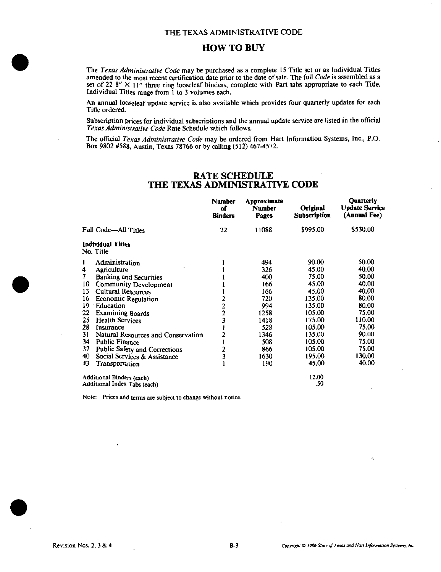# HOW TO BUY

The Texas Administrative Code may be purchased as a complete 15 Title set or as Individual Titles amended to the most recent certification date prior to the date of sale. The full Code is assembled as a set of 22 8"  $\times$  11" three ring looseleaf binders, complete with Part tabs appropriate to each Title. Individual Titles range from 1 to 3 volumes each.

An annual looseleaf update service is also available which provides four quarterly updates for each Title ordered.

Subscription prices for individual subscriptions and the annual update service are listed in the official Texas Administrative Code Rate Schedule which follows.

The official  $Texas$  Administrative Code may be ordered from Hart Information Systems, Inc., P.O. Box 9802 #588, Austin, Texas 78766 or by calling (512) 467-4572.

# RATE SCHEDULE THE TEXAS ADMINISTRATIVE CODE

|                              |                                       | <b>Number</b><br>of<br><b>Binders</b> | Approximate<br><b>Number</b><br>Pages | Original<br><b>Subscription</b> | <b>Ouarterly</b><br><b>Update Service</b><br>(Annual Fee) |
|------------------------------|---------------------------------------|---------------------------------------|---------------------------------------|---------------------------------|-----------------------------------------------------------|
| Full Code-All Titles         |                                       | 22                                    | 11088                                 | \$995.00                        | \$530.00                                                  |
|                              | <b>Individual Titles</b><br>No. Title |                                       |                                       |                                 |                                                           |
| 1                            | Administration                        |                                       | 494                                   | 90.00                           | 50.00                                                     |
| 4                            | Agriculture                           |                                       | 326                                   | 45.00                           | 40.00                                                     |
| 7                            | <b>Banking and Securities</b>         |                                       | 400                                   | 75.00                           | 50.00                                                     |
| 10                           | <b>Community Development</b>          |                                       | 166                                   | 45.00                           | 40.00                                                     |
| 13                           | <b>Cultural Resources</b>             |                                       | 166                                   | 45.00                           | 40.00                                                     |
| 16                           | Economic Regulation                   |                                       | 720                                   | 135.00                          | 80.00                                                     |
| 19                           | Education                             | $\frac{2}{2}$                         | 994                                   | 135.00                          | 80.00                                                     |
| 22                           | <b>Examining Boards</b>               | $\overline{\mathbf{2}}$               | 1258                                  | 105.00                          | 75.00                                                     |
| 25                           | <b>Health Services</b>                | 3                                     | 1418                                  | 175.00                          | 110.00                                                    |
| 28                           | Insurance                             |                                       | 528                                   | 105.00                          | 75.00                                                     |
| 31                           | Natural Resources and Conservation    | 2                                     | 1346                                  | 135.00                          | 90.00                                                     |
| 34                           | Public Finance                        |                                       | 508                                   | 105.00                          | 75.00                                                     |
| 37                           | Public Safety and Corrections         | 2                                     | 866                                   | 105.00                          | 75.00                                                     |
| 40                           | Social Services & Assistance          | 3                                     | 1630                                  | 195.00                          | 130.00                                                    |
| 43                           | Transportation                        |                                       | 190                                   | 45.00                           | 40.00                                                     |
| Additional Binders (each)    |                                       |                                       |                                       | 12.00                           |                                                           |
| Additional Index Tabs (each) |                                       |                                       |                                       | .50                             |                                                           |

Note: Prices and terms are subject to change without notice.

ĸ.